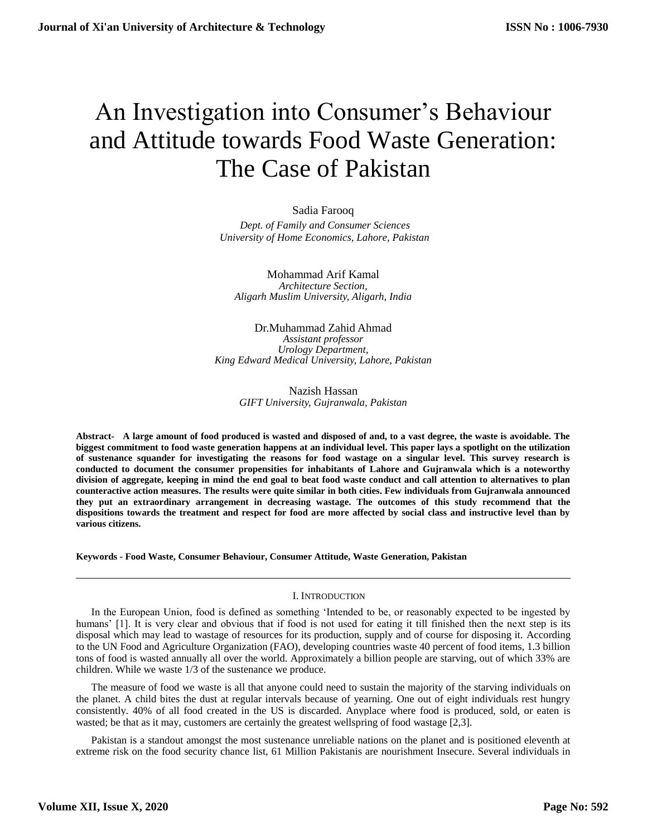# An Investigation into Consumer's Behaviour and Attitude towards Food Waste Generation: The Case of Pakistan

Sadia Farooq  *Dept. of Family and Consumer Sciences University of Home Economics, Lahore, Pakistan*

Mohammad Arif Kamal *Architecture Section, Aligarh Muslim University, Aligarh, India*

Dr.Muhammad Zahid Ahmad *Assistant professor Urology Department, King Edward Medical University, Lahore, Pakistan*

> Nazish Hassan *GIFT University, Gujranwala, Pakistan*

**Abstract- A large amount of food produced is wasted and disposed of and, to a vast degree, the waste is avoidable. The biggest commitment to food waste generation happens at an individual level. This paper lays a spotlight on the utilization of sustenance squander for investigating the reasons for food wastage on a singular level. This survey research is conducted to document the consumer propensities for inhabitants of Lahore and Gujranwala which is a noteworthy division of aggregate, keeping in mind the end goal to beat food waste conduct and call attention to alternatives to plan counteractive action measures. The results were quite similar in both cities. Few individuals from Gujranwala announced they put an extraordinary arrangement in decreasing wastage. The outcomes of this study recommend that the dispositions towards the treatment and respect for food are more affected by social class and instructive level than by various citizens.**

**Keywords - Food Waste, Consumer Behaviour, Consumer Attitude, Waste Generation, Pakistan**

## I. INTRODUCTION

In the European Union, food is defined as something 'Intended to be, or reasonably expected to be ingested by humans' [1]. It is very clear and obvious that if food is not used for eating it till finished then the next step is its disposal which may lead to wastage of resources for its production, supply and of course for disposing it. According to the UN Food and Agriculture Organization (FAO), developing countries waste 40 percent of food items, 1.3 billion tons of food is wasted annually all over the world. Approximately a billion people are starving, out of which 33% are children. While we waste 1/3 of the sustenance we produce.

The measure of food we waste is all that anyone could need to sustain the majority of the starving individuals on the planet. A child bites the dust at regular intervals because of yearning. One out of eight individuals rest hungry consistently. 40% of all food created in the US is discarded. Anyplace where food is produced, sold, or eaten is wasted; be that as it may, customers are certainly the greatest wellspring of food wastage [2,3].

Pakistan is a standout amongst the most sustenance unreliable nations on the planet and is positioned eleventh at extreme risk on the food security chance list, 61 Million Pakistanis are nourishment Insecure. Several individuals in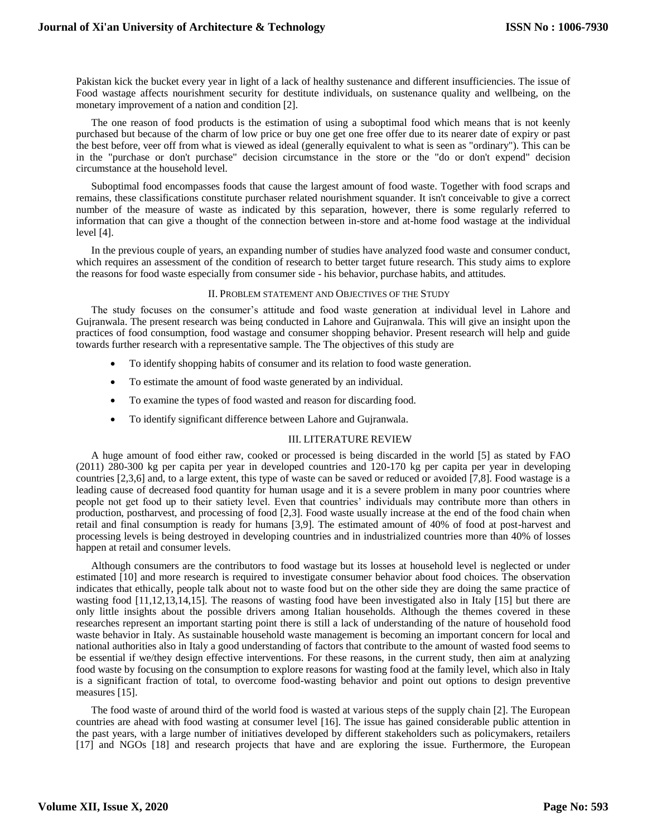Pakistan kick the bucket every year in light of a lack of healthy sustenance and different insufficiencies. The issue of Food wastage affects nourishment security for destitute individuals, on sustenance quality and wellbeing, on the monetary improvement of a nation and condition [2].

The one reason of food products is the estimation of using a suboptimal food which means that is not keenly purchased but because of the charm of low price or buy one get one free offer due to its nearer date of expiry or past the best before, veer off from what is viewed as ideal (generally equivalent to what is seen as "ordinary"). This can be in the "purchase or don't purchase" decision circumstance in the store or the "do or don't expend" decision circumstance at the household level.

Suboptimal food encompasses foods that cause the largest amount of food waste. Together with food scraps and remains, these classifications constitute purchaser related nourishment squander. It isn't conceivable to give a correct number of the measure of waste as indicated by this separation, however, there is some regularly referred to information that can give a thought of the connection between in-store and at-home food wastage at the individual level [4].

In the previous couple of years, an expanding number of studies have analyzed food waste and consumer conduct, which requires an assessment of the condition of research to better target future research. This study aims to explore the reasons for food waste especially from consumer side - his behavior, purchase habits, and attitudes.

#### II. PROBLEM STATEMENT AND OBJECTIVES OF THE STUDY

The study focuses on the consumer's attitude and food waste generation at individual level in Lahore and Gujranwala. The present research was being conducted in Lahore and Gujranwala. This will give an insight upon the practices of food consumption, food wastage and consumer shopping behavior. Present research will help and guide towards further research with a representative sample. The The objectives of this study are

- To identify shopping habits of consumer and its relation to food waste generation.
- To estimate the amount of food waste generated by an individual.
- To examine the types of food wasted and reason for discarding food.
- To identify significant difference between Lahore and Gujranwala.

## III. LITERATURE REVIEW

A huge amount of food either raw, cooked or processed is being discarded in the world [5] as stated by FAO (2011) 280-300 kg per capita per year in developed countries and 120-170 kg per capita per year in developing countries [2,3,6] and, to a large extent, this type of waste can be saved or reduced or avoided [7,8]. Food wastage is a leading cause of decreased food quantity for human usage and it is a severe problem in many poor countries where people not get food up to their satiety level. Even that countries' individuals may contribute more than others in production, postharvest, and processing of food [2,3]. Food waste usually increase at the end of the food chain when retail and final consumption is ready for humans [3,9]. The estimated amount of 40% of food at post-harvest and processing levels is being destroyed in developing countries and in industrialized countries more than 40% of losses happen at retail and consumer levels.

Although consumers are the contributors to food wastage but its losses at household level is neglected or under estimated [10] and more research is required to investigate consumer behavior about food choices. The observation indicates that ethically, people talk about not to waste food but on the other side they are doing the same practice of wasting food [11,12,13,14,15]. The reasons of wasting food have been investigated also in Italy [15] but there are only little insights about the possible drivers among Italian households. Although the themes covered in these researches represent an important starting point there is still a lack of understanding of the nature of household food waste behavior in Italy. As sustainable household waste management is becoming an important concern for local and national authorities also in Italy a good understanding of factors that contribute to the amount of wasted food seems to be essential if we/they design effective interventions. For these reasons, in the current study, then aim at analyzing food waste by focusing on the consumption to explore reasons for wasting food at the family level, which also in Italy is a significant fraction of total, to overcome food-wasting behavior and point out options to design preventive measures [15].

The food waste of around third of the world food is wasted at various steps of the supply chain [2]. The European countries are ahead with food wasting at consumer level [16]. The issue has gained considerable public attention in the past years, with a large number of initiatives developed by different stakeholders such as policymakers, retailers [17] and NGOs [18] and research projects that have and are exploring the issue. Furthermore, the European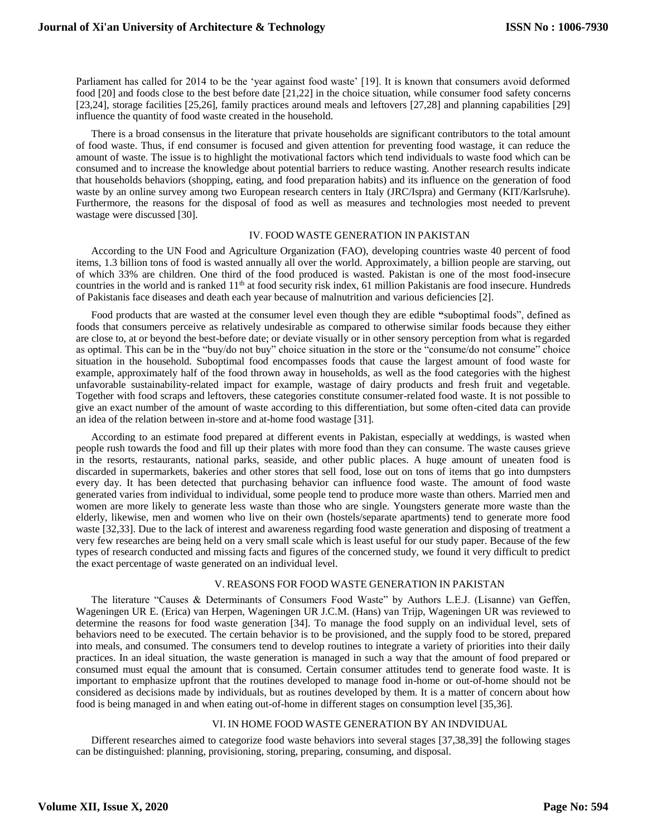Parliament has called for 2014 to be the 'year against food waste' [19]. It is known that consumers avoid deformed food [20] and foods close to the best before date [21,22] in the choice situation, while consumer food safety concerns [23,24], storage facilities [25,26], family practices around meals and leftovers [27,28] and planning capabilities [29] influence the quantity of food waste created in the household.

There is a broad consensus in the literature that private households are significant contributors to the total amount of food waste. Thus, if end consumer is focused and given attention for preventing food wastage, it can reduce the amount of waste. The issue is to highlight the motivational factors which tend individuals to waste food which can be consumed and to increase the knowledge about potential barriers to reduce wasting. Another research results indicate that households behaviors (shopping, eating, and food preparation habits) and its influence on the generation of food waste by an online survey among two European research centers in Italy (JRC/Ispra) and Germany (KIT/Karlsruhe). Furthermore, the reasons for the disposal of food as well as measures and technologies most needed to prevent wastage were discussed [30].

#### IV. FOOD WASTE GENERATION IN PAKISTAN

According to the UN Food and Agriculture Organization (FAO), developing countries waste 40 percent of food items, 1.3 billion tons of food is wasted annually all over the world. Approximately, a billion people are starving, out of which 33% are children. One third of the food produced is wasted. Pakistan is one of the most food-insecure countries in the world and is ranked  $11<sup>th</sup>$  at food security risk index, 61 million Pakistanis are food insecure. Hundreds of Pakistanis face diseases and death each year because of malnutrition and various deficiencies [2].

Food products that are wasted at the consumer level even though they are edible **"**suboptimal foods", defined as foods that consumers perceive as relatively undesirable as compared to otherwise similar foods because they either are close to, at or beyond the best-before date; or deviate visually or in other sensory perception from what is regarded as optimal. This can be in the "buy/do not buy" choice situation in the store or the "consume/do not consume" choice situation in the household. Suboptimal food encompasses foods that cause the largest amount of food waste for example, approximately half of the food thrown away in households, as well as the food categories with the highest unfavorable sustainability-related impact for example, wastage of dairy products and fresh fruit and vegetable. Together with food scraps and leftovers, these categories constitute consumer-related food waste. It is not possible to give an exact number of the amount of waste according to this differentiation, but some often-cited data can provide an idea of the relation between in-store and at-home food wastage [31].

According to an estimate food prepared at different events in Pakistan, especially at weddings, is wasted when people rush towards the food and fill up their plates with more food than they can consume. The waste causes grieve in the resorts, restaurants, national parks, seaside, and other public places. A huge amount of uneaten food is discarded in supermarkets, bakeries and other stores that sell food, lose out on tons of items that go into dumpsters every day. It has been detected that purchasing behavior can influence food waste. The amount of food waste generated varies from individual to individual, some people tend to produce more waste than others. Married men and women are more likely to generate less waste than those who are single. Youngsters generate more waste than the elderly, likewise, men and women who live on their own (hostels/separate apartments) tend to generate more food waste [32,33]. Due to the lack of interest and awareness regarding food waste generation and disposing of treatment a very few researches are being held on a very small scale which is least useful for our study paper. Because of the few types of research conducted and missing facts and figures of the concerned study, we found it very difficult to predict the exact percentage of waste generated on an individual level.

#### V. REASONS FOR FOOD WASTE GENERATION IN PAKISTAN

The literature "Causes & Determinants of Consumers Food Waste" by Authors L.E.J. (Lisanne) van Geffen, Wageningen UR E. (Erica) van Herpen, Wageningen UR J.C.M. (Hans) van Trijp, Wageningen UR was reviewed to determine the reasons for food waste generation [34]. To manage the food supply on an individual level, sets of behaviors need to be executed. The certain behavior is to be provisioned, and the supply food to be stored, prepared into meals, and consumed. The consumers tend to develop routines to integrate a variety of priorities into their daily practices. In an ideal situation, the waste generation is managed in such a way that the amount of food prepared or consumed must equal the amount that is consumed. Certain consumer attitudes tend to generate food waste. It is important to emphasize upfront that the routines developed to manage food in-home or out-of-home should not be considered as decisions made by individuals, but as routines developed by them. It is a matter of concern about how food is being managed in and when eating out-of-home in different stages on consumption level [35,36].

#### VI. IN HOME FOOD WASTE GENERATION BY AN INDVIDUAL

Different researches aimed to categorize food waste behaviors into several stages [37,38,39] the following stages can be distinguished: planning, provisioning, storing, preparing, consuming, and disposal.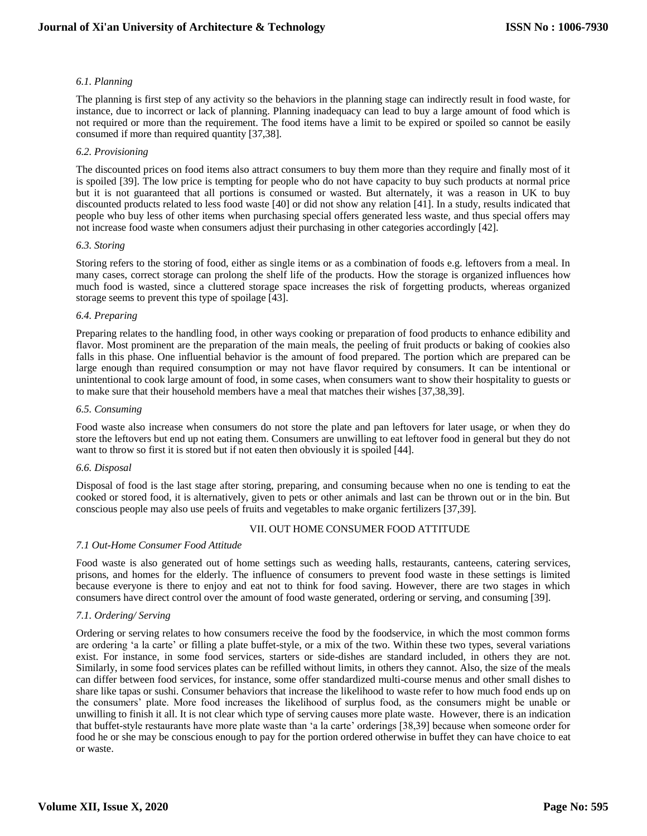## *6.1. Planning*

The planning is first step of any activity so the behaviors in the planning stage can indirectly result in food waste, for instance, due to incorrect or lack of planning. Planning inadequacy can lead to buy a large amount of food which is not required or more than the requirement. The food items have a limit to be expired or spoiled so cannot be easily consumed if more than required quantity [37,38].

## *6.2. Provisioning*

The discounted prices on food items also attract consumers to buy them more than they require and finally most of it is spoiled [39]. The low price is tempting for people who do not have capacity to buy such products at normal price but it is not guaranteed that all portions is consumed or wasted. But alternately, it was a reason in UK to buy discounted products related to less food waste [40] or did not show any relation [41]. In a study, results indicated that people who buy less of other items when purchasing special offers generated less waste, and thus special offers may not increase food waste when consumers adjust their purchasing in other categories accordingly [42].

#### *6.3. Storing*

Storing refers to the storing of food, either as single items or as a combination of foods e.g. leftovers from a meal. In many cases, correct storage can prolong the shelf life of the products. How the storage is organized influences how much food is wasted, since a cluttered storage space increases the risk of forgetting products, whereas organized storage seems to prevent this type of spoilage [43].

#### *6.4. Preparing*

Preparing relates to the handling food, in other ways cooking or preparation of food products to enhance edibility and flavor. Most prominent are the preparation of the main meals, the peeling of fruit products or baking of cookies also falls in this phase. One influential behavior is the amount of food prepared. The portion which are prepared can be large enough than required consumption or may not have flavor required by consumers. It can be intentional or unintentional to cook large amount of food, in some cases, when consumers want to show their hospitality to guests or to make sure that their household members have a meal that matches their wishes [37,38,39].

#### *6.5. Consuming*

Food waste also increase when consumers do not store the plate and pan leftovers for later usage, or when they do store the leftovers but end up not eating them. Consumers are unwilling to eat leftover food in general but they do not want to throw so first it is stored but if not eaten then obviously it is spoiled [44].

## *6.6. Disposal*

Disposal of food is the last stage after storing, preparing, and consuming because when no one is tending to eat the cooked or stored food, it is alternatively, given to pets or other animals and last can be thrown out or in the bin. But conscious people may also use peels of fruits and vegetables to make organic fertilizers [37,39].

## VII. OUT HOME CONSUMER FOOD ATTITUDE

## *7.1 Out-Home Consumer Food Attitude*

Food waste is also generated out of home settings such as weeding halls, restaurants, canteens, catering services, prisons, and homes for the elderly. The influence of consumers to prevent food waste in these settings is limited because everyone is there to enjoy and eat not to think for food saving. However, there are two stages in which consumers have direct control over the amount of food waste generated, ordering or serving, and consuming [39].

## *7.1. Ordering/ Serving*

Ordering or serving relates to how consumers receive the food by the foodservice, in which the most common forms are ordering 'a la carte' or filling a plate buffet-style, or a mix of the two. Within these two types, several variations exist. For instance, in some food services, starters or side-dishes are standard included, in others they are not. Similarly, in some food services plates can be refilled without limits, in others they cannot. Also, the size of the meals can differ between food services, for instance, some offer standardized multi-course menus and other small dishes to share like tapas or sushi. Consumer behaviors that increase the likelihood to waste refer to how much food ends up on the consumers' plate. More food increases the likelihood of surplus food, as the consumers might be unable or unwilling to finish it all. It is not clear which type of serving causes more plate waste. However, there is an indication that buffet-style restaurants have more plate waste than 'a la carte' orderings [38,39] because when someone order for food he or she may be conscious enough to pay for the portion ordered otherwise in buffet they can have choice to eat or waste.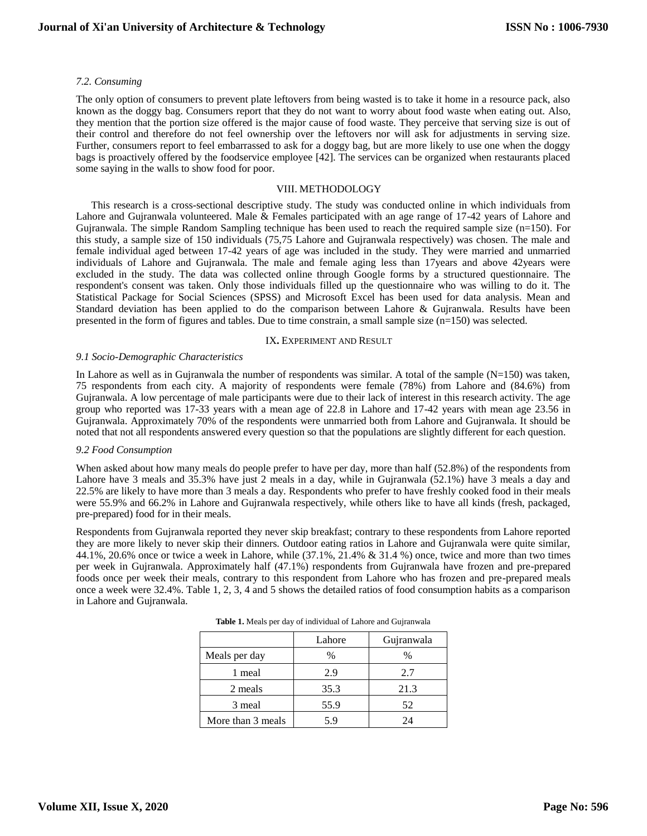#### *7.2. Consuming*

The only option of consumers to prevent plate leftovers from being wasted is to take it home in a resource pack, also known as the doggy bag. Consumers report that they do not want to worry about food waste when eating out. Also, they mention that the portion size offered is the major cause of food waste. They perceive that serving size is out of their control and therefore do not feel ownership over the leftovers nor will ask for adjustments in serving size. Further, consumers report to feel embarrassed to ask for a doggy bag, but are more likely to use one when the doggy bags is proactively offered by the foodservice employee [42]. The services can be organized when restaurants placed some saying in the walls to show food for poor.

#### VIII. METHODOLOGY

This research is a cross-sectional descriptive study. The study was conducted online in which individuals from Lahore and Gujranwala volunteered. Male & Females participated with an age range of 17-42 years of Lahore and Gujranwala. The simple Random Sampling technique has been used to reach the required sample size (n=150). For this study, a sample size of 150 individuals (75,75 Lahore and Gujranwala respectively) was chosen. The male and female individual aged between 17-42 years of age was included in the study. They were married and unmarried individuals of Lahore and Gujranwala. The male and female aging less than 17years and above 42years were excluded in the study. The data was collected online through Google forms by a structured questionnaire. The respondent's consent was taken. Only those individuals filled up the questionnaire who was willing to do it. The Statistical Package for Social Sciences (SPSS) and Microsoft Excel has been used for data analysis. Mean and Standard deviation has been applied to do the comparison between Lahore & Gujranwala. Results have been presented in the form of figures and tables. Due to time constrain, a small sample size (n=150) was selected.

#### IX**.** EXPERIMENT AND RESULT

#### *9.1 Socio-Demographic Characteristics*

In Lahore as well as in Gujranwala the number of respondents was similar. A total of the sample (N=150) was taken, 75 respondents from each city. A majority of respondents were female (78%) from Lahore and (84.6%) from Gujranwala. A low percentage of male participants were due to their lack of interest in this research activity. The age group who reported was 17-33 years with a mean age of 22.8 in Lahore and 17-42 years with mean age 23.56 in Gujranwala. Approximately 70% of the respondents were unmarried both from Lahore and Gujranwala. It should be noted that not all respondents answered every question so that the populations are slightly different for each question.

#### *9.2 Food Consumption*

When asked about how many meals do people prefer to have per day, more than half (52.8%) of the respondents from Lahore have 3 meals and 35.3% have just 2 meals in a day, while in Gujranwala (52.1%) have 3 meals a day and 22.5% are likely to have more than 3 meals a day. Respondents who prefer to have freshly cooked food in their meals were 55.9% and 66.2% in Lahore and Gujranwala respectively, while others like to have all kinds (fresh, packaged, pre-prepared) food for in their meals.

Respondents from Gujranwala reported they never skip breakfast; contrary to these respondents from Lahore reported they are more likely to never skip their dinners. Outdoor eating ratios in Lahore and Gujranwala were quite similar, 44.1%, 20.6% once or twice a week in Lahore, while (37.1%, 21.4% & 31.4 %) once, twice and more than two times per week in Gujranwala. Approximately half (47.1%) respondents from Gujranwala have frozen and pre-prepared foods once per week their meals, contrary to this respondent from Lahore who has frozen and pre-prepared meals once a week were 32.4%. Table 1, 2, 3, 4 and 5 shows the detailed ratios of food consumption habits as a comparison in Lahore and Gujranwala.

|                   | Lahore | Gujranwala |
|-------------------|--------|------------|
| Meals per day     | $\%$   | $\%$       |
| 1 meal            | 2.9    | 2.7        |
| 2 meals           | 35.3   | 21.3       |
| 3 meal            | 55.9   | 52         |
| More than 3 meals | 5.9    | 24         |

**Table 1.** Meals per day of individual of Lahore and Gujranwala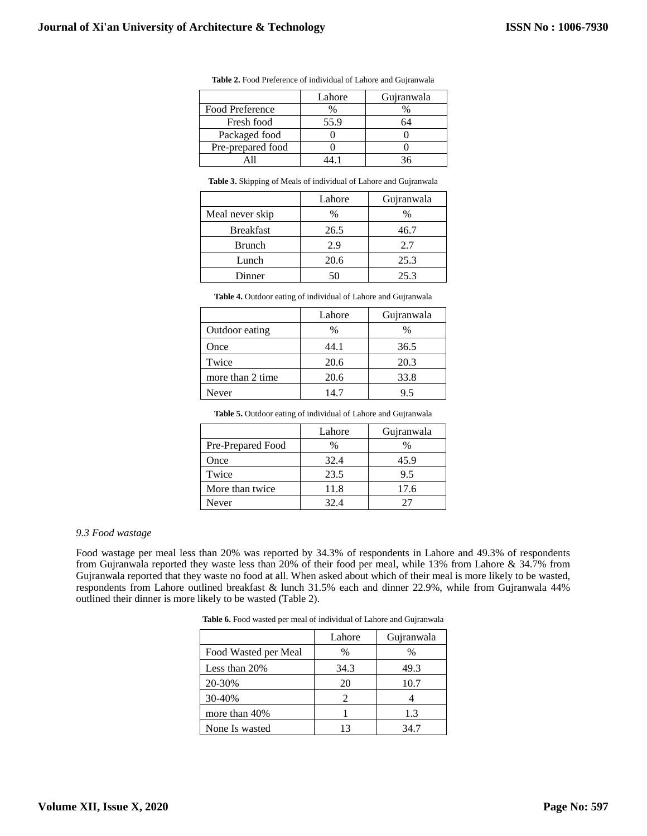|                   | Lahore | Gujranwala |
|-------------------|--------|------------|
| Food Preference   | $\%$   |            |
| Fresh food        | 55.9   | 64         |
| Packaged food     |        |            |
| Pre-prepared food |        |            |
|                   |        |            |

**Table 2.** Food Preference of individual of Lahore and Gujranwala

|  | <b>Table 3.</b> Skipping of Meals of individual of Lahore and Gujranwala |
|--|--------------------------------------------------------------------------|
|  |                                                                          |

|                  | Lahore | Gujranwala |
|------------------|--------|------------|
| Meal never skip  | $\%$   | %          |
| <b>Breakfast</b> | 26.5   | 46.7       |
| <b>Brunch</b>    | 2.9    | 2.7        |
| Lunch            | 20.6   | 25.3       |
| Dinner           |        | 25.3       |

**Table 4.** Outdoor eating of individual of Lahore and Gujranwala

|                  | Lahore | Gujranwala |
|------------------|--------|------------|
| Outdoor eating   | $\%$   | %          |
| Once             | 44.1   | 36.5       |
| Twice            | 20.6   | 20.3       |
| more than 2 time | 20.6   | 33.8       |
| Never            | 14.7   | 9.5        |

**Table 5.** Outdoor eating of individual of Lahore and Gujranwala

|                   | Lahore | Gujranwala |
|-------------------|--------|------------|
| Pre-Prepared Food | $\%$   | %          |
| Once              | 32.4   | 45.9       |
| Twice             | 23.5   | 9.5        |
| More than twice   | 11.8   | 17.6       |
| Never             | 32 A   |            |

## *9.3 Food wastage*

Food wastage per meal less than 20% was reported by 34.3% of respondents in Lahore and 49.3% of respondents from Gujranwala reported they waste less than 20% of their food per meal, while 13% from Lahore & 34.7% from Gujranwala reported that they waste no food at all. When asked about which of their meal is more likely to be wasted, respondents from Lahore outlined breakfast & lunch 31.5% each and dinner 22.9%, while from Gujranwala 44% outlined their dinner is more likely to be wasted (Table 2).

|                      | Lahore                | Gujranwala |
|----------------------|-----------------------|------------|
| Food Wasted per Meal | $\%$                  | $\%$       |
| Less than $20\%$     | 34.3                  | 49.3       |
| 20-30%               | 20                    | 10.7       |
| 30-40%               | $\mathcal{D}_{\cdot}$ |            |
| more than 40%        |                       | 1.3        |
| None Is wasted       | 13                    | 34.7       |

**Table 6.** Food wasted per meal of individual of Lahore and Gujranwala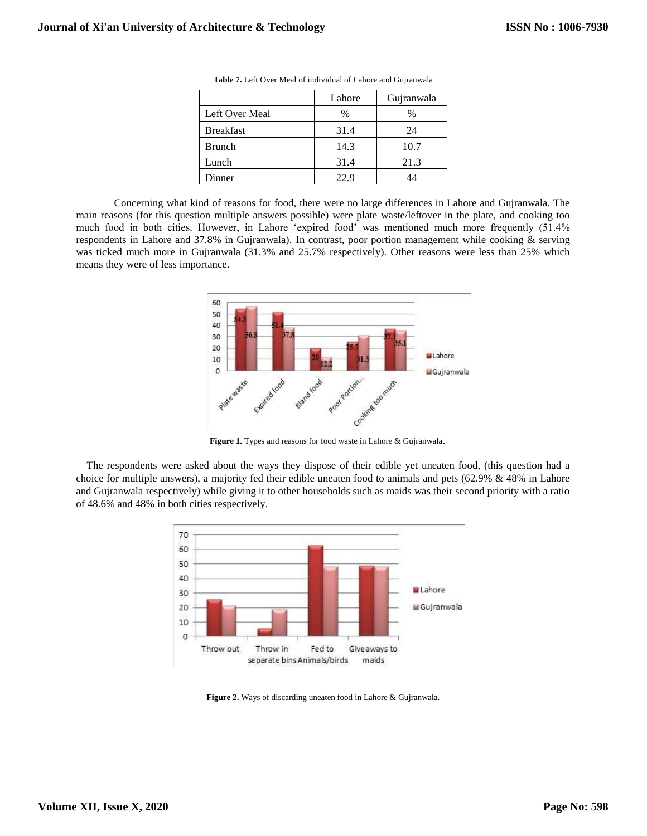|                  | Lahore | Gujranwala |
|------------------|--------|------------|
| Left Over Meal   | $\%$   | %          |
| <b>Breakfast</b> | 31.4   | 24         |
| <b>Brunch</b>    | 14.3   | 10.7       |
| Lunch            | 31.4   | 21.3       |
| <b>Dinner</b>    | 22.9   | 14         |

**Table 7.** Left Over Meal of individual of Lahore and Gujranwala

Concerning what kind of reasons for food, there were no large differences in Lahore and Gujranwala. The main reasons (for this question multiple answers possible) were plate waste/leftover in the plate, and cooking too much food in both cities. However, in Lahore 'expired food' was mentioned much more frequently (51.4% respondents in Lahore and 37.8% in Gujranwala). In contrast, poor portion management while cooking & serving was ticked much more in Gujranwala (31.3% and 25.7% respectively). Other reasons were less than 25% which means they were of less importance.



**Figure 1.** Types and reasons for food waste in Lahore & Gujranwala.

The respondents were asked about the ways they dispose of their edible yet uneaten food, (this question had a choice for multiple answers), a majority fed their edible uneaten food to animals and pets (62.9% & 48% in Lahore and Gujranwala respectively) while giving it to other households such as maids was their second priority with a ratio of 48.6% and 48% in both cities respectively.



**Figure 2.** Ways of discarding uneaten food in Lahore & Gujranwala.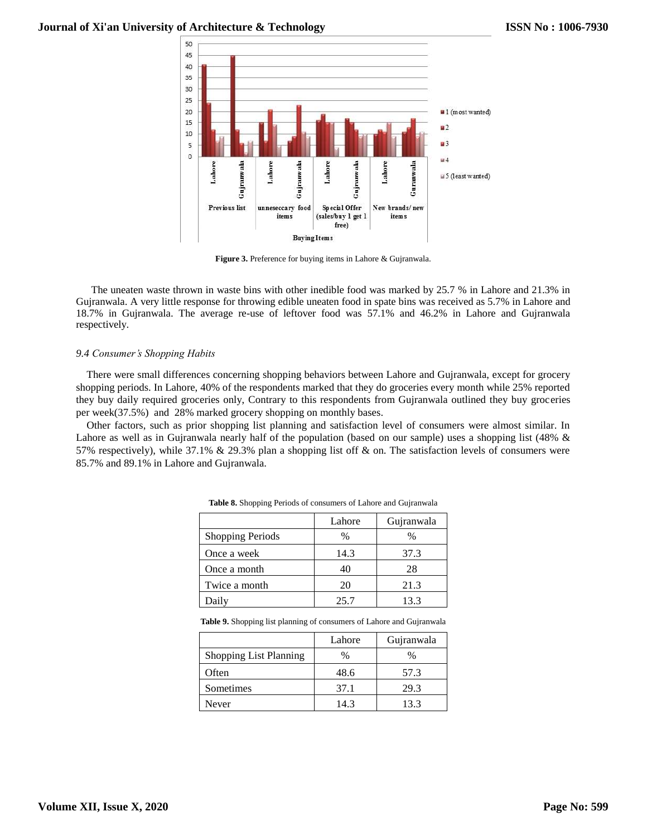

**Figure 3.** Preference for buying items in Lahore & Gujranwala.

The uneaten waste thrown in waste bins with other inedible food was marked by 25.7 % in Lahore and 21.3% in Gujranwala. A very little response for throwing edible uneaten food in spate bins was received as 5.7% in Lahore and 18.7% in Gujranwala. The average re-use of leftover food was 57.1% and 46.2% in Lahore and Gujranwala respectively.

## *9.4 Consumer's Shopping Habits*

There were small differences concerning shopping behaviors between Lahore and Gujranwala, except for grocery shopping periods. In Lahore, 40% of the respondents marked that they do groceries every month while 25% reported they buy daily required groceries only, Contrary to this respondents from Gujranwala outlined they buy groceries per week(37.5%) and 28% marked grocery shopping on monthly bases.

Other factors, such as prior shopping list planning and satisfaction level of consumers were almost similar. In Lahore as well as in Gujranwala nearly half of the population (based on our sample) uses a shopping list (48% & 57% respectively), while 37.1% & 29.3% plan a shopping list off & on. The satisfaction levels of consumers were 85.7% and 89.1% in Lahore and Gujranwala.

|                         | Lahore | Gujranwala |
|-------------------------|--------|------------|
| <b>Shopping Periods</b> | %      | %          |
| Once a week             | 14.3   | 37.3       |
| Once a month            | 40     | 28         |
| Twice a month           | 20     | 21.3       |
| Daily                   | 25.7   | 13.3       |

**Table 8.** Shopping Periods of consumers of Lahore and Gujranwala

**Table 9.** Shopping list planning of consumers of Lahore and Gujranwala

|                               | Lahore | Gujranwala |
|-------------------------------|--------|------------|
| <b>Shopping List Planning</b> | %      | %          |
| Often                         | 48.6   | 57.3       |
| Sometimes                     | 37.1   | 29.3       |
| Never                         | 14.3   | 13.3       |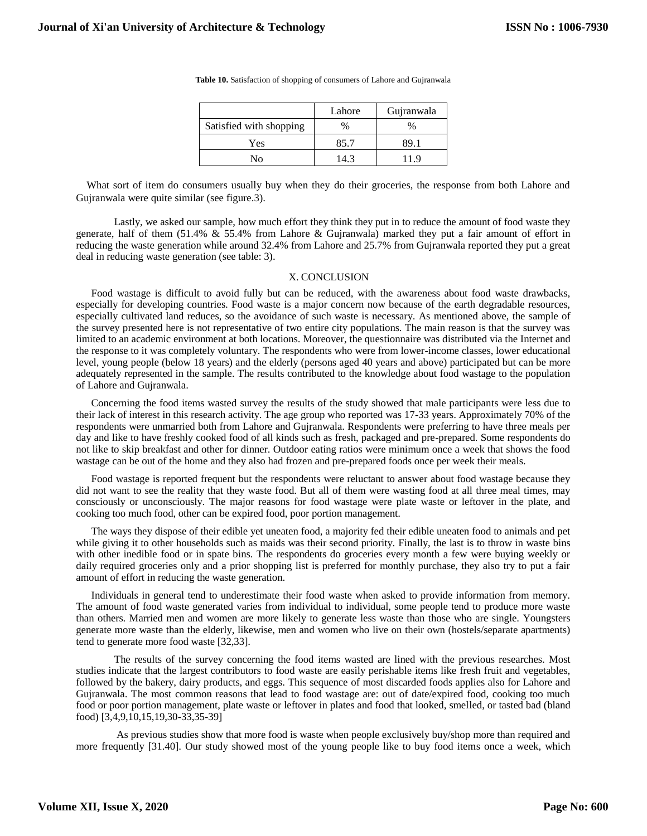|                         | Lahore | Gujranwala |
|-------------------------|--------|------------|
| Satisfied with shopping | $\%$   | $\%$       |
| Yes                     | 85.7   | 89.1       |
| Nο                      | 14.3   | 119        |

**Table 10.** Satisfaction of shopping of consumers of Lahore and Gujranwala

What sort of item do consumers usually buy when they do their groceries, the response from both Lahore and Gujranwala were quite similar (see figure.3).

Lastly, we asked our sample, how much effort they think they put in to reduce the amount of food waste they generate, half of them (51.4% & 55.4% from Lahore & Gujranwala) marked they put a fair amount of effort in reducing the waste generation while around 32.4% from Lahore and 25.7% from Gujranwala reported they put a great deal in reducing waste generation (see table: 3).

#### X. CONCLUSION

Food wastage is difficult to avoid fully but can be reduced, with the awareness about food waste drawbacks, especially for developing countries. Food waste is a major concern now because of the earth degradable resources, especially cultivated land reduces, so the avoidance of such waste is necessary. As mentioned above, the sample of the survey presented here is not representative of two entire city populations. The main reason is that the survey was limited to an academic environment at both locations. Moreover, the questionnaire was distributed via the Internet and the response to it was completely voluntary. The respondents who were from lower-income classes, lower educational level, young people (below 18 years) and the elderly (persons aged 40 years and above) participated but can be more adequately represented in the sample. The results contributed to the knowledge about food wastage to the population of Lahore and Gujranwala.

Concerning the food items wasted survey the results of the study showed that male participants were less due to their lack of interest in this research activity. The age group who reported was 17-33 years. Approximately 70% of the respondents were unmarried both from Lahore and Gujranwala. Respondents were preferring to have three meals per day and like to have freshly cooked food of all kinds such as fresh, packaged and pre-prepared. Some respondents do not like to skip breakfast and other for dinner. Outdoor eating ratios were minimum once a week that shows the food wastage can be out of the home and they also had frozen and pre-prepared foods once per week their meals.

Food wastage is reported frequent but the respondents were reluctant to answer about food wastage because they did not want to see the reality that they waste food. But all of them were wasting food at all three meal times, may consciously or unconsciously. The major reasons for food wastage were plate waste or leftover in the plate, and cooking too much food, other can be expired food, poor portion management.

The ways they dispose of their edible yet uneaten food, a majority fed their edible uneaten food to animals and pet while giving it to other households such as maids was their second priority. Finally, the last is to throw in waste bins with other inedible food or in spate bins. The respondents do groceries every month a few were buying weekly or daily required groceries only and a prior shopping list is preferred for monthly purchase, they also try to put a fair amount of effort in reducing the waste generation.

Individuals in general tend to underestimate their food waste when asked to provide information from memory. The amount of food waste generated varies from individual to individual, some people tend to produce more waste than others. Married men and women are more likely to generate less waste than those who are single. Youngsters generate more waste than the elderly, likewise, men and women who live on their own (hostels/separate apartments) tend to generate more food waste [32,33].

The results of the survey concerning the food items wasted are lined with the previous researches. Most studies indicate that the largest contributors to food waste are easily perishable items like fresh fruit and vegetables, followed by the bakery, dairy products, and eggs. This sequence of most discarded foods applies also for Lahore and Gujranwala. The most common reasons that lead to food wastage are: out of date/expired food, cooking too much food or poor portion management, plate waste or leftover in plates and food that looked, smelled, or tasted bad (bland food) [3,4,9,10,15,19,30-33,35-39]

As previous studies show that more food is waste when people exclusively buy/shop more than required and more frequently [31.40]. Our study showed most of the young people like to buy food items once a week, which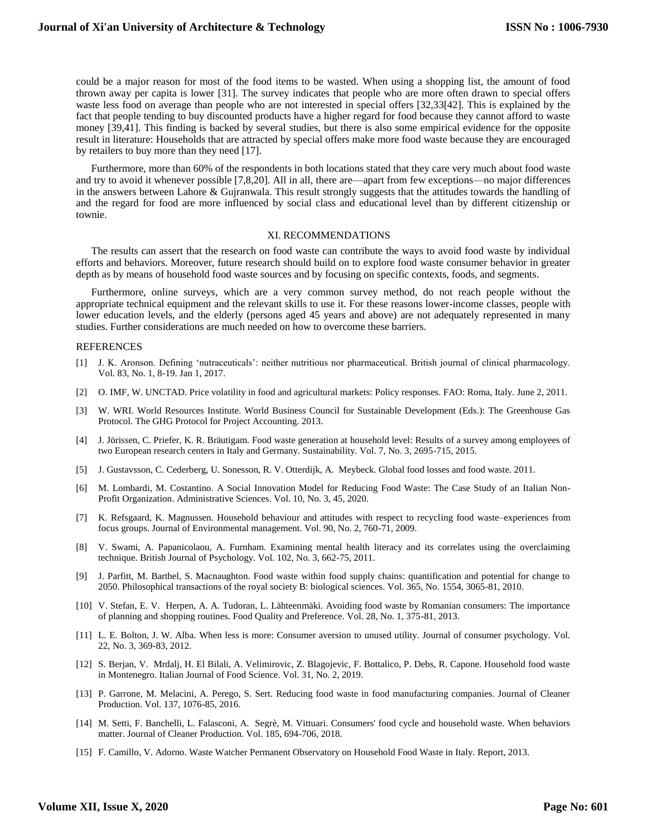could be a major reason for most of the food items to be wasted. When using a shopping list, the amount of food thrown away per capita is lower [31]. The survey indicates that people who are more often drawn to special offers waste less food on average than people who are not interested in special offers [32,33[42]. This is explained by the fact that people tending to buy discounted products have a higher regard for food because they cannot afford to waste money [39,41]. This finding is backed by several studies, but there is also some empirical evidence for the opposite result in literature: Households that are attracted by special offers make more food waste because they are encouraged by retailers to buy more than they need [17].

Furthermore, more than 60% of the respondents in both locations stated that they care very much about food waste and try to avoid it whenever possible [7,8,20]. All in all, there are—apart from few exceptions—no major differences in the answers between Lahore & Gujranwala. This result strongly suggests that the attitudes towards the handling of and the regard for food are more influenced by social class and educational level than by different citizenship or townie.

#### XI. RECOMMENDATIONS

The results can assert that the research on food waste can contribute the ways to avoid food waste by individual efforts and behaviors. Moreover, future research should build on to explore food waste consumer behavior in greater depth as by means of household food waste sources and by focusing on specific contexts, foods, and segments.

Furthermore, online surveys, which are a very common survey method, do not reach people without the appropriate technical equipment and the relevant skills to use it. For these reasons lower-income classes, people with lower education levels, and the elderly (persons aged 45 years and above) are not adequately represented in many studies. Further considerations are much needed on how to overcome these barriers.

#### **REFERENCES**

- [1] J. K. Aronson. Defining 'nutraceuticals': neither nutritious nor pharmaceutical. British journal of clinical pharmacology. Vol. 83, No. 1, 8-19. Jan 1, 2017.
- [2] O. IMF, W. UNCTAD. Price volatility in food and agricultural markets: Policy responses. FAO: Roma, Italy. June 2, 2011.
- [3] W. WRI. World Resources Institute. World Business Council for Sustainable Development (Eds.): The Greenhouse Gas Protocol. The GHG Protocol for Project Accounting. 2013.
- [4] J. Jörissen, C. Priefer, K. R. Bräutigam. Food waste generation at household level: Results of a survey among employees of two European research centers in Italy and Germany. Sustainability. Vol. 7, No. 3, 2695-715, 2015.
- [5] J. Gustavsson, C. Cederberg, U. Sonesson, R. V. Otterdijk, A. Meybeck. Global food losses and food waste. 2011.
- [6] M. Lombardi, M. Costantino. A Social Innovation Model for Reducing Food Waste: The Case Study of an Italian Non-Profit Organization. Administrative Sciences. Vol. 10, No. 3, 45, 2020.
- [7] K. Refsgaard, K. Magnussen. Household behaviour and attitudes with respect to recycling food waste–experiences from focus groups. Journal of Environmental management. Vol. 90, No. 2, 760-71, 2009.
- [8] V. Swami, A. Papanicolaou, A. Furnham. Examining mental health literacy and its correlates using the overclaiming technique. British Journal of Psychology. Vol. 102, No. 3, 662-75, 2011.
- [9] J. Parfitt, M. Barthel, S. Macnaughton. Food waste within food supply chains: quantification and potential for change to 2050. Philosophical transactions of the royal society B: biological sciences. Vol. 365, No. 1554, 3065-81, 2010.
- [10] V. Stefan, E. V. Herpen, A. A. Tudoran, L. Lähteenmäki. Avoiding food waste by Romanian consumers: The importance of planning and shopping routines. Food Quality and Preference. Vol. 28, No. 1, 375-81, 2013.
- [11] L. E. Bolton, J. W. Alba. When less is more: Consumer aversion to unused utility. Journal of consumer psychology. Vol. 22, No. 3, 369-83, 2012.
- [12] S. Berjan, V. Mrdalj, H. El Bilali, A. Velimirovic, Z. Blagojevic, F. Bottalico, P. Debs, R. Capone. Household food waste in Montenegro. Italian Journal of Food Science. Vol. 31, No. 2, 2019.
- [13] P. Garrone, M. Melacini, A. Perego, S. Sert. Reducing food waste in food manufacturing companies. Journal of Cleaner Production. Vol. 137, 1076-85, 2016.
- [14] M. Setti, F. Banchelli, L. Falasconi, A. Segrè, M. Vittuari. Consumers' food cycle and household waste. When behaviors matter. Journal of Cleaner Production. Vol. 185, 694-706, 2018.
- [15] F. Camillo, V. Adorno. Waste Watcher Permanent Observatory on Household Food Waste in Italy. Report, 2013.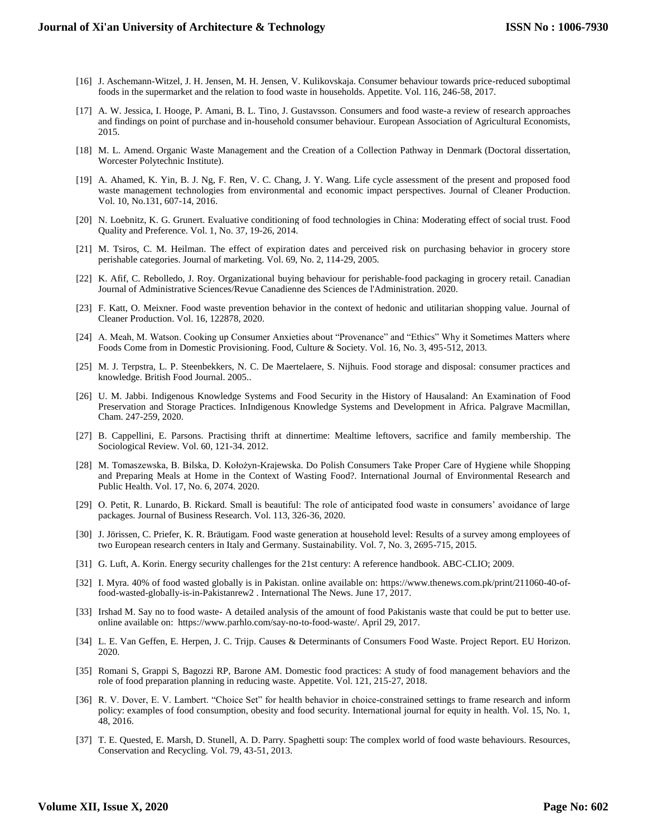- [16] J. Aschemann-Witzel, J. H. Jensen, M. H. Jensen, V. Kulikovskaja. Consumer behaviour towards price-reduced suboptimal foods in the supermarket and the relation to food waste in households. Appetite. Vol. 116, 246-58, 2017.
- [17] A. W. Jessica, I. Hooge, P. Amani, B. L. Tino, J. Gustavsson. Consumers and food waste-a review of research approaches and findings on point of purchase and in-household consumer behaviour. European Association of Agricultural Economists, 2015.
- [18] M. L. Amend. Organic Waste Management and the Creation of a Collection Pathway in Denmark (Doctoral dissertation, Worcester Polytechnic Institute).
- [19] A. Ahamed, K. Yin, B. J. Ng, F. Ren, V. C. Chang, J. Y. Wang. Life cycle assessment of the present and proposed food waste management technologies from environmental and economic impact perspectives. Journal of Cleaner Production. Vol. 10, No.131, 607-14, 2016.
- [20] N. Loebnitz, K. G. Grunert. Evaluative conditioning of food technologies in China: Moderating effect of social trust. Food Quality and Preference. Vol. 1, No. 37, 19-26, 2014.
- [21] M. Tsiros, C. M. Heilman. The effect of expiration dates and perceived risk on purchasing behavior in grocery store perishable categories. Journal of marketing. Vol. 69, No. 2, 114-29, 2005.
- [22] K. Afif, C. Rebolledo, J. Roy. Organizational buying behaviour for perishable‐food packaging in grocery retail. Canadian Journal of Administrative Sciences/Revue Canadienne des Sciences de l'Administration. 2020.
- [23] F. Katt, O. Meixner. Food waste prevention behavior in the context of hedonic and utilitarian shopping value. Journal of Cleaner Production. Vol. 16, 122878, 2020.
- [24] A. Meah, M. Watson. Cooking up Consumer Anxieties about "Provenance" and "Ethics" Why it Sometimes Matters where Foods Come from in Domestic Provisioning. Food, Culture & Society. Vol. 16, No. 3, 495-512, 2013.
- [25] M. J. Terpstra, L. P. Steenbekkers, N. C. De Maertelaere, S. Nijhuis. Food storage and disposal: consumer practices and knowledge. British Food Journal. 2005..
- [26] U. M. Jabbi. Indigenous Knowledge Systems and Food Security in the History of Hausaland: An Examination of Food Preservation and Storage Practices. InIndigenous Knowledge Systems and Development in Africa. Palgrave Macmillan, Cham. 247-259, 2020.
- [27] B. Cappellini, E. Parsons. Practising thrift at dinnertime: Mealtime leftovers, sacrifice and family membership. The Sociological Review. Vol. 60, 121-34. 2012.
- [28] M. Tomaszewska, B. Bilska, D. Kołożyn-Krajewska. Do Polish Consumers Take Proper Care of Hygiene while Shopping and Preparing Meals at Home in the Context of Wasting Food?. International Journal of Environmental Research and Public Health. Vol. 17, No. 6, 2074. 2020.
- [29] O. Petit, R. Lunardo, B. Rickard. Small is beautiful: The role of anticipated food waste in consumers' avoidance of large packages. Journal of Business Research. Vol. 113, 326-36, 2020.
- [30] J. Jörissen, C. Priefer, K. R. Bräutigam. Food waste generation at household level: Results of a survey among employees of two European research centers in Italy and Germany. Sustainability. Vol. 7, No. 3, 2695-715, 2015.
- [31] G. Luft, A. Korin. Energy security challenges for the 21st century: A reference handbook. ABC-CLIO; 2009.
- [32] I. Myra. 40% of food wasted globally is in Pakistan. online available on: https://www.thenews.com.pk/print/211060-40-offood-wasted-globally-is-in-Pakistanrew2 . International The News. June 17, 2017.
- [33] Irshad M. Say no to food waste- A detailed analysis of the amount of food Pakistanis waste that could be put to better use. online available on: https://www.parhlo.com/say-no-to-food-waste/. April 29, 2017.
- [34] L. E. Van Geffen, E. Herpen, J. C. Trijp. Causes & Determinants of Consumers Food Waste. Project Report. EU Horizon. 2020.
- [35] Romani S, Grappi S, Bagozzi RP, Barone AM. Domestic food practices: A study of food management behaviors and the role of food preparation planning in reducing waste. Appetite. Vol. 121, 215-27, 2018.
- [36] R. V. Dover, E. V. Lambert. "Choice Set" for health behavior in choice-constrained settings to frame research and inform policy: examples of food consumption, obesity and food security. International journal for equity in health. Vol. 15, No. 1, 48, 2016.
- [37] T. E. Quested, E. Marsh, D. Stunell, A. D. Parry. Spaghetti soup: The complex world of food waste behaviours. Resources, Conservation and Recycling. Vol. 79, 43-51, 2013.